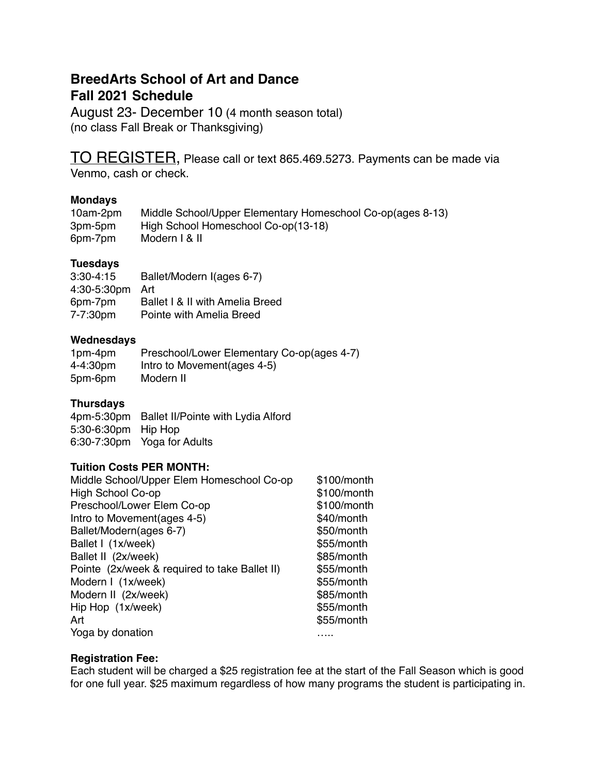## **BreedArts School of Art and Dance Fall 2021 Schedule**

August 23- December 10 (4 month season total) (no class Fall Break or Thanksgiving)

TO REGISTER, Please call or text 865.469.5273. Payments can be made via

Venmo, cash or check.

#### **Mondays**

| 10am-2pm | Middle School/Upper Elementary Homeschool Co-op(ages 8-13) |
|----------|------------------------------------------------------------|
| 3pm-5pm  | High School Homeschool Co-op(13-18)                        |
| 6pm-7pm  | Modern I & II                                              |

## **Tuesdays**

| $3:30 - 4:15$ | Ballet/Modern I(ages 6-7)       |
|---------------|---------------------------------|
| 4:30-5:30pm   | Art                             |
| 6pm-7pm       | Ballet I & II with Amelia Breed |
| 7-7:30pm      | Pointe with Amelia Breed        |

#### **Wednesdays**

| 1pm-4pm      | Preschool/Lower Elementary Co-op(ages 4-7) |
|--------------|--------------------------------------------|
| $4 - 4:30pm$ | Intro to Movement (ages 4-5)               |
| 5pm-6pm      | Modern II                                  |

## **Thursdays**

4pm-5:30pm Ballet II/Pointe with Lydia Alford 5:30-6:30pm Hip Hop 6:30-7:30pm Yoga for Adults

## **Tuition Costs PER MONTH:**

| \$100/month |
|-------------|
| \$100/month |
| \$100/month |
| \$40/month  |
| \$50/month  |
| \$55/month  |
| \$85/month  |
| \$55/month  |
| \$55/month  |
| \$85/month  |
| \$55/month  |
| \$55/month  |
|             |
|             |

## **Registration Fee:**

Each student will be charged a \$25 registration fee at the start of the Fall Season which is good for one full year. \$25 maximum regardless of how many programs the student is participating in.